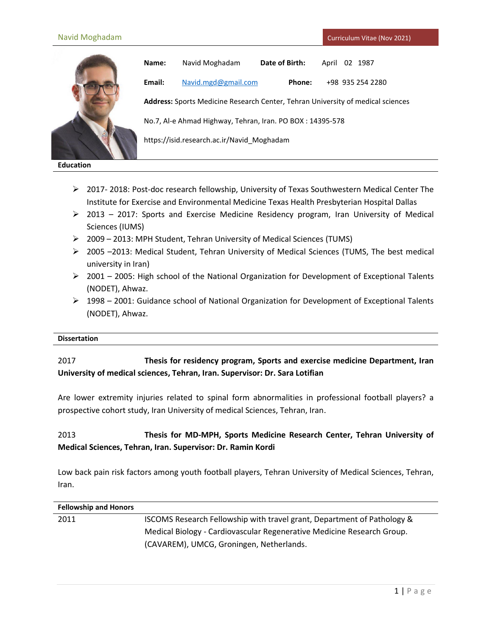

**Name:** Navid Moghadam **Date of Birth:** April 02 1987 **Email:** [Navid.mgd@gmail.com](mailto:Navid.mgd@gmail.com) **Phone:** +98 935 254 2280 **Address:** Sports Medicine Research Center, Tehran University of medical sciences No.7, Al-e Ahmad Highway, Tehran, Iran. PO BOX : 14395-578 https://isid.research.ac.ir/Navid\_Moghadam

**Education**

- 2017- 2018: Post-doc research fellowship, University of Texas Southwestern Medical Center The Institute for Exercise and Environmental Medicine Texas Health Presbyterian Hospital Dallas
- $\geq$  2013 2017: Sports and Exercise Medicine Residency program, Iran University of Medical Sciences (IUMS)
- $\geq$  2009 2013: MPH Student, Tehran University of Medical Sciences (TUMS)
- $\geq$  2005 –2013: Medical Student, Tehran University of Medical Sciences (TUMS, The best medical university in Iran)
- $\geq 2001$  2005: High school of the National Organization for Development of Exceptional Talents (NODET), Ahwaz.
- $\triangleright$  1998 2001: Guidance school of National Organization for Development of Exceptional Talents (NODET), Ahwaz.

### **Dissertation**

# 2017 **Thesis for residency program, Sports and exercise medicine Department, Iran University of medical sciences, Tehran, Iran. Supervisor: Dr. Sara Lotifian**

Are lower extremity injuries related to spinal form abnormalities in professional football players? a prospective cohort study, Iran University of medical Sciences, Tehran, Iran.

# 2013 **Thesis for MD-MPH, Sports Medicine Research Center, Tehran University of Medical Sciences, Tehran, Iran. Supervisor: Dr. Ramin Kordi**

Low back pain risk factors among youth football players, Tehran University of Medical Sciences, Tehran, Iran.

| <b>Fellowship and Honors</b> |                                                                         |
|------------------------------|-------------------------------------------------------------------------|
| 2011                         | ISCOMS Research Fellowship with travel grant, Department of Pathology & |
|                              | Medical Biology - Cardiovascular Regenerative Medicine Research Group.  |
|                              | (CAVAREM), UMCG, Groningen, Netherlands.                                |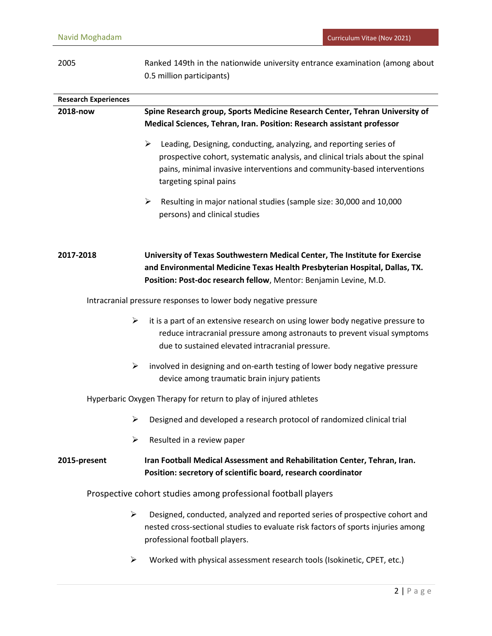| 2005 | Ranked 149th in the nationwide university entrance examination (among about |
|------|-----------------------------------------------------------------------------|
|      | 0.5 million participants)                                                   |

| <b>Research Experiences</b>                                    |                                                                                                                                                                                                                                |
|----------------------------------------------------------------|--------------------------------------------------------------------------------------------------------------------------------------------------------------------------------------------------------------------------------|
| 2018-now                                                       | Spine Research group, Sports Medicine Research Center, Tehran University of<br>Medical Sciences, Tehran, Iran. Position: Research assistant professor                                                                          |
|                                                                | $\blacktriangleright$                                                                                                                                                                                                          |
|                                                                | Leading, Designing, conducting, analyzing, and reporting series of<br>prospective cohort, systematic analysis, and clinical trials about the spinal                                                                            |
|                                                                | pains, minimal invasive interventions and community-based interventions                                                                                                                                                        |
|                                                                | targeting spinal pains                                                                                                                                                                                                         |
|                                                                | $\blacktriangleright$<br>Resulting in major national studies (sample size: 30,000 and 10,000                                                                                                                                   |
|                                                                | persons) and clinical studies                                                                                                                                                                                                  |
|                                                                |                                                                                                                                                                                                                                |
| 2017-2018                                                      | University of Texas Southwestern Medical Center, The Institute for Exercise<br>and Environmental Medicine Texas Health Presbyterian Hospital, Dallas, TX.<br>Position: Post-doc research fellow, Mentor: Benjamin Levine, M.D. |
|                                                                |                                                                                                                                                                                                                                |
|                                                                | Intracranial pressure responses to lower body negative pressure                                                                                                                                                                |
| $\blacktriangleright$                                          | it is a part of an extensive research on using lower body negative pressure to                                                                                                                                                 |
|                                                                | reduce intracranial pressure among astronauts to prevent visual symptoms<br>due to sustained elevated intracranial pressure.                                                                                                   |
| $\blacktriangleright$                                          | involved in designing and on-earth testing of lower body negative pressure                                                                                                                                                     |
|                                                                | device among traumatic brain injury patients                                                                                                                                                                                   |
|                                                                | Hyperbaric Oxygen Therapy for return to play of injured athletes                                                                                                                                                               |
| ➤                                                              | Designed and developed a research protocol of randomized clinical trial                                                                                                                                                        |
| ⋗                                                              | Resulted in a review paper                                                                                                                                                                                                     |
| 2015-present                                                   | Iran Football Medical Assessment and Rehabilitation Center, Tehran, Iran.                                                                                                                                                      |
|                                                                | Position: secretory of scientific board, research coordinator                                                                                                                                                                  |
| Prospective cohort studies among professional football players |                                                                                                                                                                                                                                |
| ➤                                                              | Designed, conducted, analyzed and reported series of prospective cohort and                                                                                                                                                    |
|                                                                | nested cross-sectional studies to evaluate risk factors of sports injuries among<br>professional football players.                                                                                                             |
|                                                                |                                                                                                                                                                                                                                |

Worked with physical assessment research tools (Isokinetic, CPET, etc.)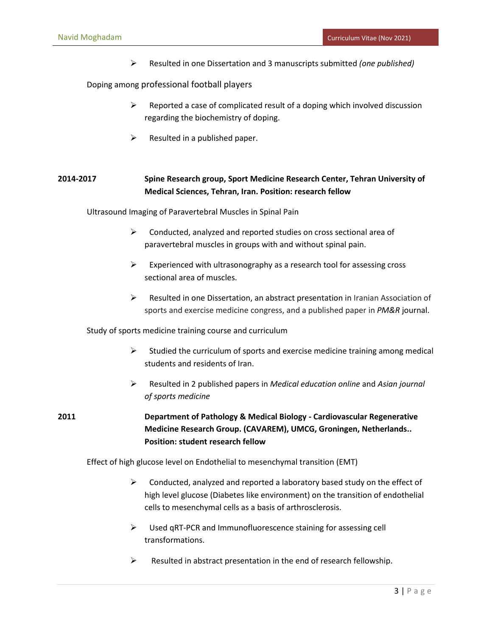Resulted in one Dissertation and 3 manuscripts submitted *(one published)*

Doping among professional football players

- $\triangleright$  Reported a case of complicated result of a doping which involved discussion regarding the biochemistry of doping.
- $\triangleright$  Resulted in a published paper.

# **2014-2017 Spine Research group, Sport Medicine Research Center, Tehran University of Medical Sciences, Tehran, Iran. Position: research fellow**

Ultrasound Imaging of Paravertebral Muscles in Spinal Pain

- $\triangleright$  Conducted, analyzed and reported studies on cross sectional area of paravertebral muscles in groups with and without spinal pain.
- $\triangleright$  Experienced with ultrasonography as a research tool for assessing cross sectional area of muscles.
- $\triangleright$  Resulted in one Dissertation, an abstract presentation in Iranian Association of sports and exercise medicine congress, and a published paper in *PM&R* journal.

Study of sports medicine training course and curriculum

- $\triangleright$  Studied the curriculum of sports and exercise medicine training among medical students and residents of Iran.
- Resulted in 2 published papers in *Medical education online* and *Asian journal of sports medicine*

**2011 Department of Pathology & Medical Biology - Cardiovascular Regenerative Medicine Research Group. (CAVAREM), UMCG, Groningen, Netherlands.. Position: student research fellow**

Effect of high glucose level on Endothelial to mesenchymal transition (EMT)

- $\triangleright$  Conducted, analyzed and reported a laboratory based study on the effect of high level glucose (Diabetes like environment) on the transition of endothelial cells to mesenchymal cells as a basis of arthrosclerosis.
- $\triangleright$  Used gRT-PCR and Immunofluorescence staining for assessing cell transformations.
- $\triangleright$  Resulted in abstract presentation in the end of research fellowship.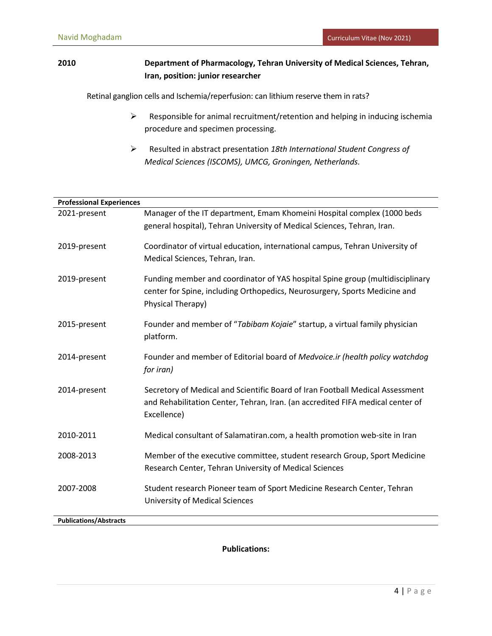# **2010 Department of Pharmacology, Tehran University of Medical Sciences, Tehran, Iran, position: junior researcher**

Retinal ganglion cells and Ischemia/reperfusion: can lithium reserve them in rats?

- $\triangleright$  Responsible for animal recruitment/retention and helping in inducing ischemia procedure and specimen processing.
- Resulted in abstract presentation *18th International Student Congress of Medical Sciences (ISCOMS), UMCG, Groningen, Netherlands.*

| <b>Professional Experiences</b> |                                                                                |
|---------------------------------|--------------------------------------------------------------------------------|
| 2021-present                    | Manager of the IT department, Emam Khomeini Hospital complex (1000 beds        |
|                                 | general hospital), Tehran University of Medical Sciences, Tehran, Iran.        |
|                                 |                                                                                |
| 2019-present                    | Coordinator of virtual education, international campus, Tehran University of   |
|                                 | Medical Sciences, Tehran, Iran.                                                |
|                                 |                                                                                |
| 2019-present                    | Funding member and coordinator of YAS hospital Spine group (multidisciplinary  |
|                                 | center for Spine, including Orthopedics, Neurosurgery, Sports Medicine and     |
|                                 | Physical Therapy)                                                              |
|                                 |                                                                                |
| 2015-present                    | Founder and member of "Tabibam Kojaie" startup, a virtual family physician     |
|                                 | platform.                                                                      |
| 2014-present                    | Founder and member of Editorial board of Medvoice.ir (health policy watchdog   |
|                                 | for iran)                                                                      |
|                                 |                                                                                |
| 2014-present                    | Secretory of Medical and Scientific Board of Iran Football Medical Assessment  |
|                                 | and Rehabilitation Center, Tehran, Iran. (an accredited FIFA medical center of |
|                                 | Excellence)                                                                    |
|                                 |                                                                                |
| 2010-2011                       | Medical consultant of Salamatiran.com, a health promotion web-site in Iran     |
| 2008-2013                       | Member of the executive committee, student research Group, Sport Medicine      |
|                                 |                                                                                |
|                                 | Research Center, Tehran University of Medical Sciences                         |
| 2007-2008                       | Student research Pioneer team of Sport Medicine Research Center, Tehran        |
|                                 | <b>University of Medical Sciences</b>                                          |
|                                 |                                                                                |
| <b>Publications/Abstracts</b>   |                                                                                |

**Publications:**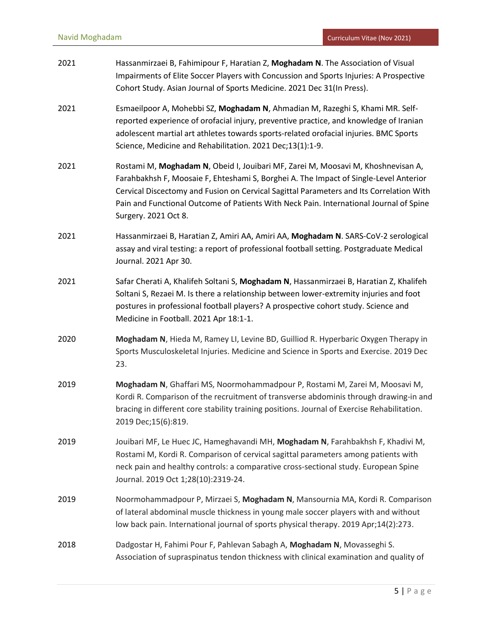| 2021 | Hassanmirzaei B, Fahimipour F, Haratian Z, Moghadam N. The Association of Visual<br>Impairments of Elite Soccer Players with Concussion and Sports Injuries: A Prospective<br>Cohort Study. Asian Journal of Sports Medicine. 2021 Dec 31(In Press).                                                                                                                                   |
|------|----------------------------------------------------------------------------------------------------------------------------------------------------------------------------------------------------------------------------------------------------------------------------------------------------------------------------------------------------------------------------------------|
| 2021 | Esmaeilpoor A, Mohebbi SZ, Moghadam N, Ahmadian M, Razeghi S, Khami MR. Self-<br>reported experience of orofacial injury, preventive practice, and knowledge of Iranian<br>adolescent martial art athletes towards sports-related orofacial injuries. BMC Sports<br>Science, Medicine and Rehabilitation. 2021 Dec;13(1):1-9.                                                          |
| 2021 | Rostami M, Moghadam N, Obeid I, Jouibari MF, Zarei M, Moosavi M, Khoshnevisan A,<br>Farahbakhsh F, Moosaie F, Ehteshami S, Borghei A. The Impact of Single-Level Anterior<br>Cervical Discectomy and Fusion on Cervical Sagittal Parameters and Its Correlation With<br>Pain and Functional Outcome of Patients With Neck Pain. International Journal of Spine<br>Surgery. 2021 Oct 8. |
| 2021 | Hassanmirzaei B, Haratian Z, Amiri AA, Amiri AA, Moghadam N. SARS-CoV-2 serological<br>assay and viral testing: a report of professional football setting. Postgraduate Medical<br>Journal. 2021 Apr 30.                                                                                                                                                                               |
| 2021 | Safar Cherati A, Khalifeh Soltani S, Moghadam N, Hassanmirzaei B, Haratian Z, Khalifeh<br>Soltani S, Rezaei M. Is there a relationship between lower-extremity injuries and foot<br>postures in professional football players? A prospective cohort study. Science and<br>Medicine in Football. 2021 Apr 18:1-1.                                                                       |
| 2020 | Moghadam N, Hieda M, Ramey LI, Levine BD, Guilliod R. Hyperbaric Oxygen Therapy in<br>Sports Musculoskeletal Injuries. Medicine and Science in Sports and Exercise. 2019 Dec<br>23.                                                                                                                                                                                                    |
| 2019 | Moghadam N, Ghaffari MS, Noormohammadpour P, Rostami M, Zarei M, Moosavi M,<br>Kordi R. Comparison of the recruitment of transverse abdominis through drawing-in and<br>bracing in different core stability training positions. Journal of Exercise Rehabilitation.<br>2019 Dec;15(6):819.                                                                                             |
| 2019 | Jouibari MF, Le Huec JC, Hameghavandi MH, Moghadam N, Farahbakhsh F, Khadivi M,<br>Rostami M, Kordi R. Comparison of cervical sagittal parameters among patients with<br>neck pain and healthy controls: a comparative cross-sectional study. European Spine<br>Journal. 2019 Oct 1;28(10):2319-24.                                                                                    |
| 2019 | Noormohammadpour P, Mirzaei S, Moghadam N, Mansournia MA, Kordi R. Comparison<br>of lateral abdominal muscle thickness in young male soccer players with and without<br>low back pain. International journal of sports physical therapy. 2019 Apr;14(2):273.                                                                                                                           |
| 2018 | Dadgostar H, Fahimi Pour F, Pahlevan Sabagh A, Moghadam N, Movasseghi S.<br>Association of supraspinatus tendon thickness with clinical examination and quality of                                                                                                                                                                                                                     |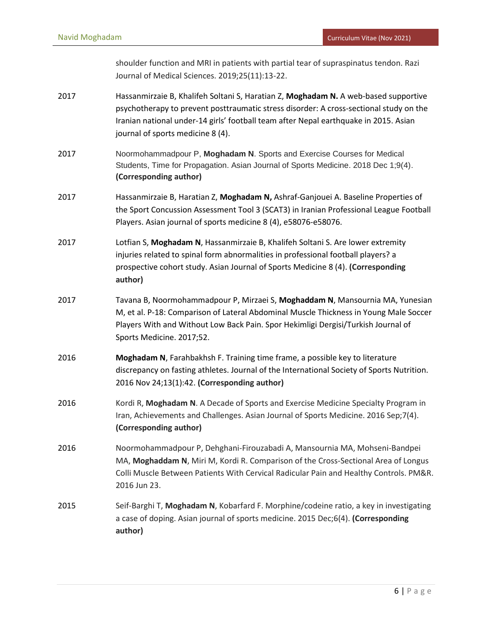shoulder function and MRI in patients with partial tear of supraspinatus tendon. Razi Journal of Medical Sciences. 2019;25(11):13-22.

- 2017 Hassanmirzaie B, Khalifeh Soltani S, Haratian Z, **Moghadam N.** A web-based supportive psychotherapy to prevent posttraumatic stress disorder: A cross-sectional study on the Iranian national under-14 girls' football team after Nepal earthquake in 2015. Asian journal of sports medicine 8 (4).
- 2017 Noormohammadpour P, **Moghadam N**. Sports and Exercise Courses for Medical Students, Time for Propagation. Asian Journal of Sports Medicine. 2018 Dec 1;9(4). **(Corresponding author)**
- 2017 Hassanmirzaie B, Haratian Z, **Moghadam N,** Ashraf-Ganjouei A. Baseline Properties of the Sport Concussion Assessment Tool 3 (SCAT3) in Iranian Professional League Football Players. Asian journal of sports medicine 8 (4), e58076-e58076.
- 2017 Lotfian S, **Moghadam N**, Hassanmirzaie B, Khalifeh Soltani S. Are lower extremity injuries related to spinal form abnormalities in professional football players? a prospective cohort study. Asian Journal of Sports Medicine 8 (4). **(Corresponding author)**
- 2017 Tavana B, Noormohammadpour P, Mirzaei S, **Moghaddam N**, Mansournia MA, Yunesian M, et al. P-18: Comparison of Lateral Abdominal Muscle Thickness in Young Male Soccer Players With and Without Low Back Pain. Spor Hekimligi Dergisi/Turkish Journal of Sports Medicine. 2017;52.
- 2016 **Moghadam N**, Farahbakhsh F. Training time frame, a possible key to literature discrepancy on fasting athletes. Journal of the International Society of Sports Nutrition. 2016 Nov 24;13(1):42. **(Corresponding author)**
- 2016 Kordi R, Moghadam N. A Decade of Sports and Exercise Medicine Specialty Program in Iran, Achievements and Challenges. Asian Journal of Sports Medicine. 2016 Sep;7(4). **(Corresponding author)**
- 2016 Noormohammadpour P, Dehghani-Firouzabadi A, Mansournia MA, Mohseni-Bandpei MA, **Moghaddam N**, Miri M, Kordi R. Comparison of the Cross-Sectional Area of Longus Colli Muscle Between Patients With Cervical Radicular Pain and Healthy Controls. PM&R. 2016 Jun 23.
- 2015 Seif-Barghi T, **Moghadam N**, Kobarfard F. Morphine/codeine ratio, a key in investigating a case of doping. Asian journal of sports medicine. 2015 Dec;6(4). **(Corresponding author)**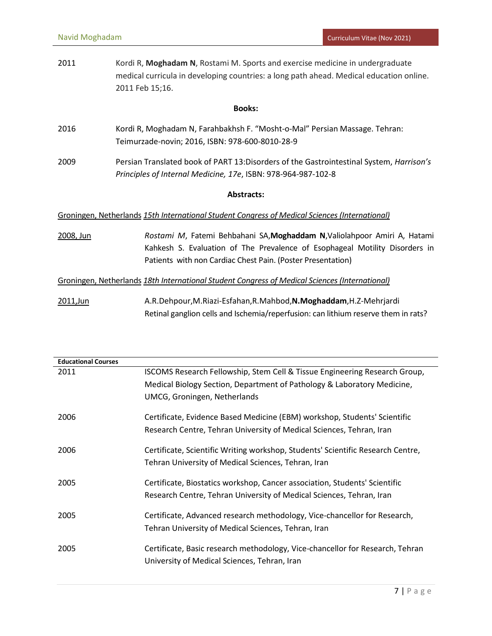| 2011 | Kordi R, Moghadam N, Rostami M. Sports and exercise medicine in undergraduate           |
|------|-----------------------------------------------------------------------------------------|
|      | medical curricula in developing countries: a long path ahead. Medical education online. |
|      | 2011 Feb 15:16.                                                                         |

## **Books:**

- 2016 Kordi R, Moghadam N, Farahbakhsh F. "Mosht-o-Mal" Persian Massage. Tehran: Teimurzade-novin; 2016, ISBN: 978-600-8010-28-9
- 2009 Persian Translated book of PART 13:Disorders of the Gastrointestinal System, *Harrison's Principles of Internal Medicine, 17e*, ISBN: 978-964-987-102-8

## **Abstracts:**

## Groningen, Netherlands *15th International Student Congress of Medical Sciences (International)*

2008, Jun *Rostami M*, Fatemi Behbahani SA,**Moghaddam N**,Valiolahpoor Amiri A, Hatami Kahkesh S. Evaluation of The Prevalence of Esophageal Motility Disorders in Patients with non Cardiac Chest Pain. (Poster Presentation)

## Groningen, Netherlands *18th International Student Congress of Medical Sciences (International)*

2011,Jun A.R.Dehpour,M.Riazi-Esfahan,R.Mahbod,**N.Moghaddam**,H.Z-Mehrjardi Retinal ganglion cells and Ischemia/reperfusion: can lithium reserve them in rats?

| <b>Educational Courses</b> |                                                                                                                               |
|----------------------------|-------------------------------------------------------------------------------------------------------------------------------|
| 2011                       | ISCOMS Research Fellowship, Stem Cell & Tissue Engineering Research Group,                                                    |
|                            | Medical Biology Section, Department of Pathology & Laboratory Medicine,                                                       |
|                            | UMCG, Groningen, Netherlands                                                                                                  |
| 2006                       | Certificate, Evidence Based Medicine (EBM) workshop, Students' Scientific                                                     |
|                            | Research Centre, Tehran University of Medical Sciences, Tehran, Iran                                                          |
| 2006                       | Certificate, Scientific Writing workshop, Students' Scientific Research Centre,                                               |
|                            | Tehran University of Medical Sciences, Tehran, Iran                                                                           |
| 2005                       | Certificate, Biostatics workshop, Cancer association, Students' Scientific                                                    |
|                            | Research Centre, Tehran University of Medical Sciences, Tehran, Iran                                                          |
| 2005                       | Certificate, Advanced research methodology, Vice-chancellor for Research,                                                     |
|                            | Tehran University of Medical Sciences, Tehran, Iran                                                                           |
|                            |                                                                                                                               |
| 2005                       | Certificate, Basic research methodology, Vice-chancellor for Research, Tehran<br>University of Medical Sciences, Tehran, Iran |
|                            |                                                                                                                               |